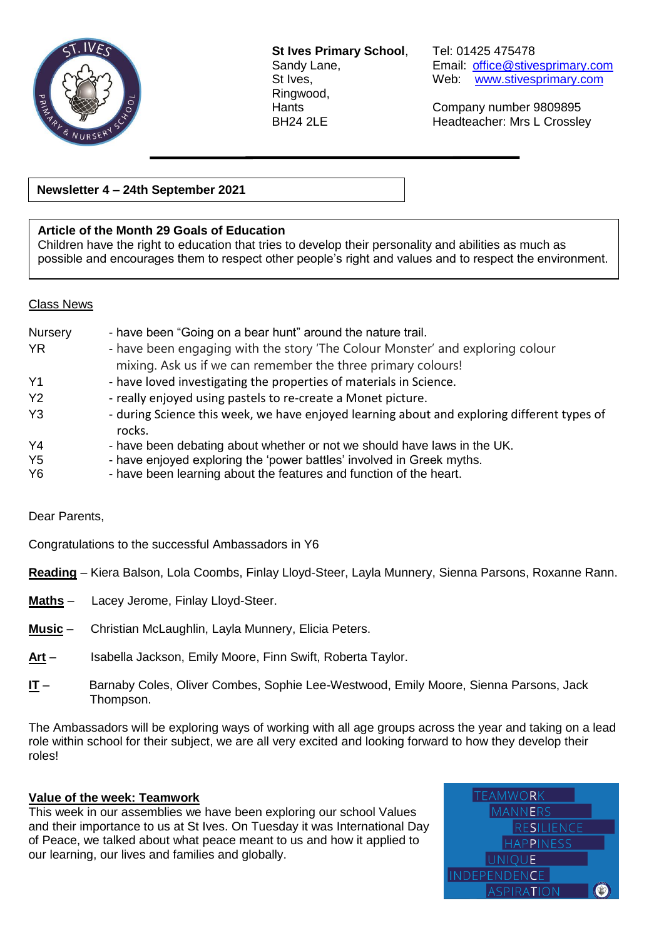

**St Ives Primary School**, Tel: 01425 475478 Ringwood,

Sandy Lane, **Email:** [office@stivesprimary.com](mailto:office@stivesprimary.com) St Ives, Web: [www.stivesprimary.com](http://www.stives.dorset.sch.uk/)

Hants Company number 9809895 BH24 2LE Headteacher: Mrs L Crossley

**Newsletter 4 – 24th September 2021**

### **Article of the Month 29 Goals of Education**

Children have the right to education that tries to develop their personality and abilities as much as possible and encourages them to respect other people's right and values and to respect the environment.

#### Class News

| Nursery        | - have been "Going on a bear hunt" around the nature trail.                                           |
|----------------|-------------------------------------------------------------------------------------------------------|
| <b>YR</b>      | - have been engaging with the story 'The Colour Monster' and exploring colour                         |
|                | mixing. Ask us if we can remember the three primary colours!                                          |
| Y <sub>1</sub> | - have loved investigating the properties of materials in Science.                                    |
| <b>Y2</b>      | - really enjoyed using pastels to re-create a Monet picture.                                          |
| Y <sub>3</sub> | - during Science this week, we have enjoyed learning about and exploring different types of<br>rocks. |
| Y <sub>4</sub> | - have been debating about whether or not we should have laws in the UK.                              |
| Y <sub>5</sub> | - have enjoyed exploring the 'power battles' involved in Greek myths.                                 |
| Y6             | - have been learning about the features and function of the heart.                                    |

Dear Parents,

Congratulations to the successful Ambassadors in Y6

**Reading** – Kiera Balson, Lola Coombs, Finlay Lloyd-Steer, Layla Munnery, Sienna Parsons, Roxanne Rann.

- **Maths** Lacey Jerome, Finlay Lloyd-Steer.
- **Music** Christian McLaughlin, Layla Munnery, Elicia Peters.
- **Art** Isabella Jackson, Emily Moore, Finn Swift, Roberta Taylor.
- **IT** Barnaby Coles, Oliver Combes, Sophie Lee-Westwood, Emily Moore, Sienna Parsons, Jack Thompson.

The Ambassadors will be exploring ways of working with all age groups across the year and taking on a lead role within school for their subject, we are all very excited and looking forward to how they develop their roles!

### **Value of the week: Teamwork**

This week in our assemblies we have been exploring our school Values and their importance to us at St Ives. On Tuesday it was International Day of Peace, we talked about what peace meant to us and how it applied to our learning, our lives and families and globally.

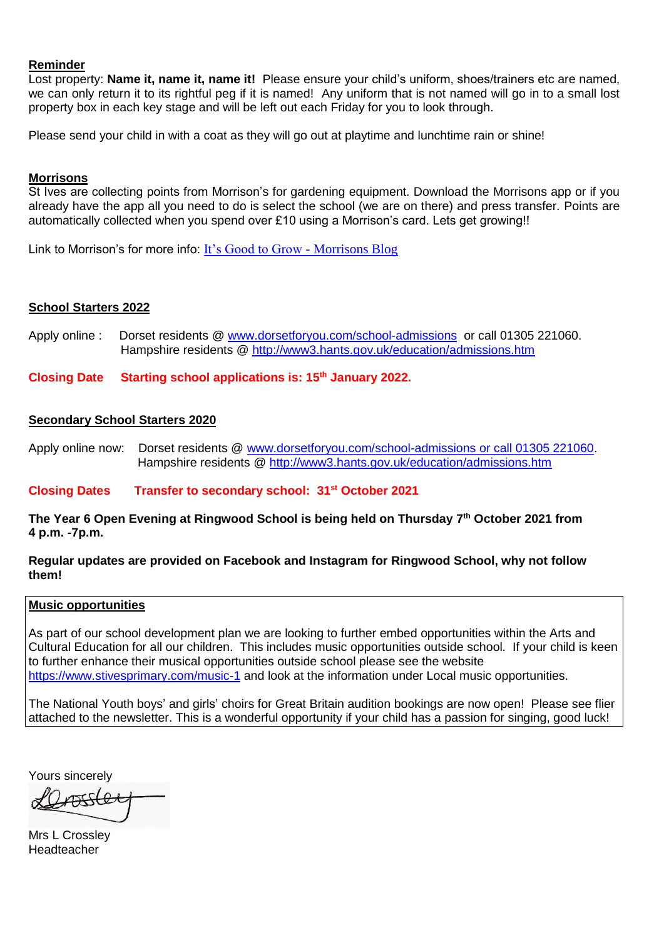#### **Reminder**

Lost property: **Name it, name it, name it!** Please ensure your child's uniform, shoes/trainers etc are named, we can only return it to its rightful peg if it is named! Any uniform that is not named will go in to a small lost property box in each key stage and will be left out each Friday for you to look through.

Please send your child in with a coat as they will go out at playtime and lunchtime rain or shine!

#### **Morrisons**

St Ives are collecting points from Morrison's for gardening equipment. Download the Morrisons app or if you already have the app all you need to do is select the school (we are on there) and press transfer. Points are automatically collected when you spend over £10 using a Morrison's card. Lets get growing!!

Link to Morrison's for more info: [It's Good to Grow -](https://my.morrisons.com/blog/community/good-to-grow/) Morrisons Blog

#### **School Starters 2022**

Apply online : Dorset residents @ [www.dorsetforyou.com/school-admissions](http://www.dorsetforyou.com/school-admissions) or call 01305 221060. Hampshire residents @<http://www3.hants.gov.uk/education/admissions.htm>

**Closing Date Starting school applications is: 15th January 2022.** 

#### **Secondary School Starters 2020**

Apply online now: Dorset residents @ [www.dorsetforyou.com/school-admissions or call 01305 221060.](http://www.dorsetforyou.com/school-admissions%20or%20call%2001305%20221060) Hampshire residents @<http://www3.hants.gov.uk/education/admissions.htm>

**Closing Dates Transfer to secondary school: 31st October 2021**

**The Year 6 Open Evening at Ringwood School is being held on Thursday 7 th October 2021 from 4 p.m. -7p.m.**

#### **Regular updates are provided on Facebook and Instagram for Ringwood School, why not follow them!**

#### **Music opportunities**

As part of our school development plan we are looking to further embed opportunities within the Arts and Cultural Education for all our children. This includes music opportunities outside school. If your child is keen to further enhance their musical opportunities outside school please see the website <https://www.stivesprimary.com/music-1> and look at the information under Local music opportunities.

The National Youth boys' and girls' choirs for Great Britain audition bookings are now open! Please see flier attached to the newsletter. This is a wonderful opportunity if your child has a passion for singing, good luck!

Yours sincerely

Mrs L Crossley Headteacher